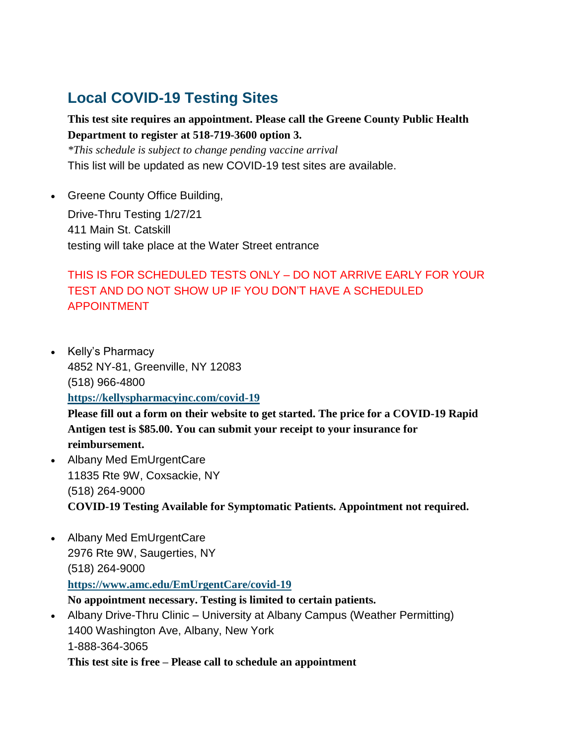## **Local COVID-19 Testing Sites**

### **This test site requires an appointment. Please call the Greene County Public Health Department to register at 518-719-3600 option 3.**

*\*This schedule is subject to change pending vaccine arrival* This list will be updated as new COVID-19 test sites are available.

• Greene County Office Building,

Drive-Thru Testing 1/27/21 411 Main St. Catskill testing will take place at the Water Street entrance

## THIS IS FOR SCHEDULED TESTS ONLY – DO NOT ARRIVE EARLY FOR YOUR TEST AND DO NOT SHOW UP IF YOU DON'T HAVE A SCHEDULED APPOINTMENT

• Kelly's Pharmacy 4852 NY-81, Greenville, NY 12083 (518) 966-4800 **[https://kellyspharmacyinc.com/covid-19](https://kellyspharmacyinc.com/covid-19-testing-questionnaire)**

**Please fill out a form on their website to get started. The price for a COVID-19 Rapid Antigen test is \$85.00. You can submit your receipt to your insurance for reimbursement.**

- Albany Med EmUrgentCare 11835 Rte 9W, Coxsackie, NY (518) 264-9000 **COVID-19 Testing Available for Symptomatic Patients. Appointment not required.**
- Albany Med EmUrgentCare 2976 Rte 9W, Saugerties, NY (518) 264-9000 **[https://www.amc.edu/EmUrgentCare/covid-19](https://www.amc.edu/EmUrgentCare/covid-19-antibody-testing.cfm) No appointment necessary. Testing is limited to certain patients.**
- Albany Drive-Thru Clinic University at Albany Campus (Weather Permitting) 1400 Washington Ave, Albany, New York 1-888-364-3065 **This test site is free – Please call to schedule an appointment**